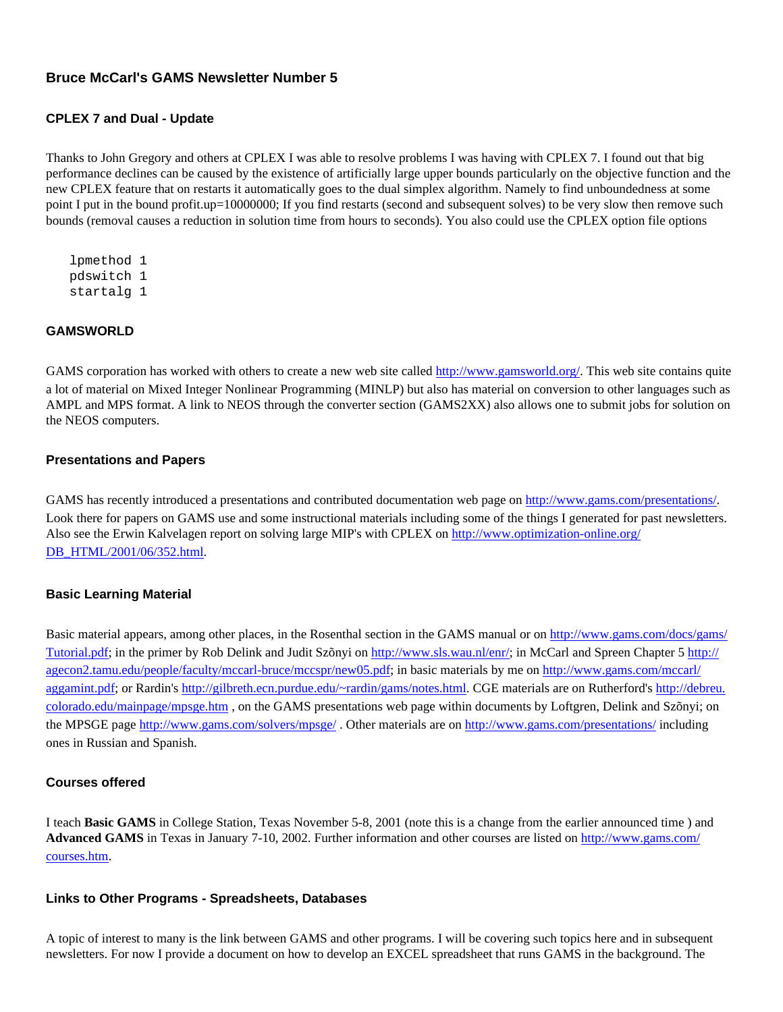# **Bruce McCarl's GAMS Newsletter Number 5**

#### **CPLEX 7 and Dual - Update**

Thanks to John Gregory and others at CPLEX I was able to resolve problems I was having with CPLEX 7. I found out that big performance declines can be caused by the existence of artificially large upper bounds particularly on the objective function and the new CPLEX feature that on restarts it automatically goes to the dual simplex algorithm. Namely to find unboundedness at some point I put in the bound profit.up=10000000; If you find restarts (second and subsequent solves) to be very slow then remove such bounds (removal causes a reduction in solution time from hours to seconds). You also could use the CPLEX option file options

 lpmethod 1 pdswitch 1 startalg 1

### **GAMSWORLD**

GAMS corporation has worked with others to create a new web site called [http://www.gamsworld.org/.](http://www.gamsworld.org/) This web site contains quite a lot of material on Mixed Integer Nonlinear Programming (MINLP) but also has material on conversion to other languages such as AMPL and MPS format. A link to NEOS through the converter section (GAMS2XX) also allows one to submit jobs for solution on the NEOS computers.

#### **Presentations and Papers**

GAMS has recently introduced a presentations and contributed documentation web page on [http://www.gams.com/presentations/.](http://www.gams.com/presentations/) Look there for papers on GAMS use and some instructional materials including some of the things I generated for past newsletters. Also see the Erwin Kalvelagen report on solving large MIP's with CPLEX on [http://www.optimization-online.org/](http://www.optimization-online.org/DB_HTML/2001/06/352.html) [DB\\_HTML/2001/06/352.html](http://www.optimization-online.org/DB_HTML/2001/06/352.html).

#### **Basic Learning Material**

Basic material appears, among other places, in the Rosenthal section in the GAMS manual or on [http://www.gams.com/docs/gams/](http://www.gams.com/docs/gams/Tutorial.pdf) [Tutorial.pdf;](http://www.gams.com/docs/gams/Tutorial.pdf) in the primer by Rob Delink and Judit Szõnyi on<http://www.sls.wau.nl/enr/>; in McCarl and Spreen Chapter 5 [http://](http://agecon2.tamu.edu/people/faculty/mccarl-bruce/mccspr/new05.pdf) [agecon2.tamu.edu/people/faculty/mccarl-bruce/mccspr/new05.pdf](http://agecon2.tamu.edu/people/faculty/mccarl-bruce/mccspr/new05.pdf); in basic materials by me on [http://www.gams.com/mccarl/](http://www.gams.com/mccarl/aggamint.pdf) [aggamint.pdf;](http://www.gams.com/mccarl/aggamint.pdf) or Rardin's [http://gilbreth.ecn.purdue.edu/~rardin/gams/notes.html.](http://gilbreth.ecn.purdue.edu/~rardin/gams/notes.html) CGE materials are on Rutherford's [http://debreu.](http://debreu.colorado.edu/mainpage/mpsge.htm) [colorado.edu/mainpage/mpsge.htm](http://debreu.colorado.edu/mainpage/mpsge.htm) , on the GAMS presentations web page within documents by Loftgren, Delink and Szõnyi; on the MPSGE page<http://www.gams.com/solvers/mpsge/> . Other materials are on <http://www.gams.com/presentations/> including ones in Russian and Spanish.

#### **Courses offered**

I teach **Basic GAMS** in College Station, Texas November 5-8, 2001 (note this is a change from the earlier announced time ) and **Advanced GAMS** in Texas in January 7-10, 2002. Further information and other courses are listed on [http://www.gams.com/](http://www.gams.com/courses.htm) [courses.htm.](http://www.gams.com/courses.htm)

#### **Links to Other Programs - Spreadsheets, Databases**

A topic of interest to many is the link between GAMS and other programs. I will be covering such topics here and in subsequent newsletters. For now I provide a document on how to develop an EXCEL spreadsheet that runs GAMS in the background. The